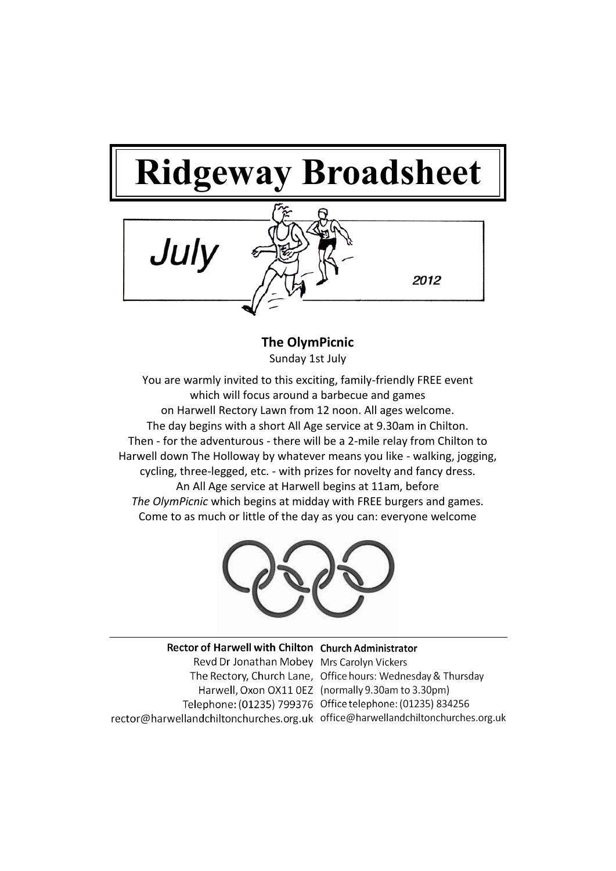# **Ridgeway Broadsheet**



**The OlymPicnic** Sunday 1st July

You are warmly invited to this exciting, family-friendly FREE event which will focus around a barbecue and games on Harwell Rectory Lawn from 12 noon. All ages welcome. The day begins with a short All Age service at 9.30am in Chilton. Then - for the adventurous - there will be a 2-mile relay from Chilton to Harwell down The Holloway by whatever means you like - walking, jogging, cycling, three-legged, etc. - with prizes for novelty and fancy dress. An All Age service at Harwell begins at 11am, before *The OlymPicnic* which begins at midday with FREE burgers and games. Come to as much or little of the day as you can: everyone welcome



| Rector of Harwell with Chilton Church Administrator                             |                                                              |
|---------------------------------------------------------------------------------|--------------------------------------------------------------|
| Revd Dr Jonathan Mobey Mrs Carolyn Vickers                                      |                                                              |
|                                                                                 | The Rectory, Church Lane, Office hours: Wednesday & Thursday |
|                                                                                 | Harwell, Oxon OX11 OEZ (normally 9.30am to 3.30pm)           |
|                                                                                 | Telephone: (01235) 799376 Office telephone: (01235) 834256   |
| rector@harwellandchiltonchurches.org.uk office@harwellandchiltonchurches.org.uk |                                                              |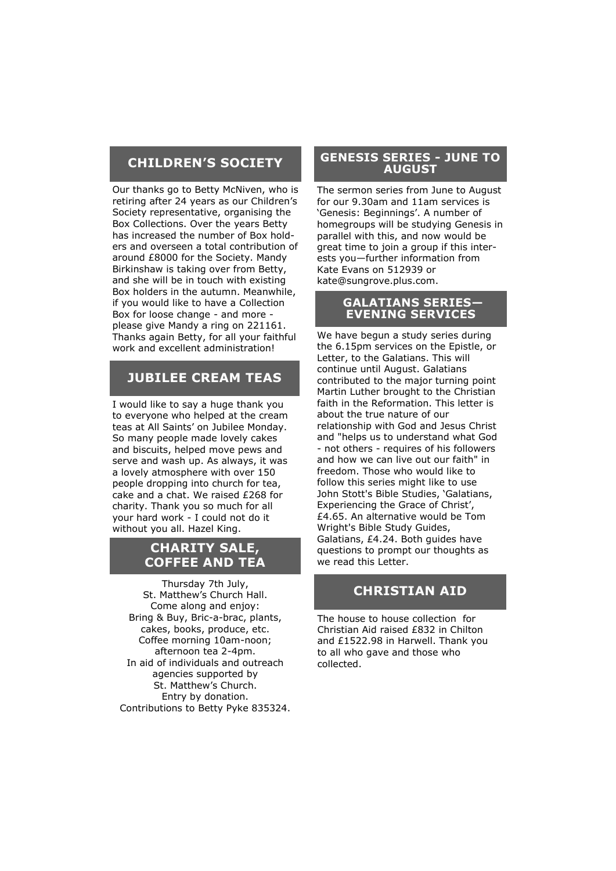### **CHILDREN'S SOCIETY**

Our thanks go to Betty McNiven, who is retiring after 24 years as our Children's Society representative, organising the Box Collections. Over the years Betty has increased the number of Box holders and overseen a total contribution of around £8000 for the Society. Mandy Birkinshaw is taking over from Betty, and she will be in touch with existing Box holders in the autumn. Meanwhile, if you would like to have a Collection Box for loose change - and more please give Mandy a ring on 221161. Thanks again Betty, for all your faithful work and excellent administration!

# **JUBILEE CREAM TEAS**

I would like to say a huge thank you to everyone who helped at the cream teas at All Saints' on Jubilee Monday. So many people made lovely cakes and biscuits, helped move pews and serve and wash up. As always, it was a lovely atmosphere with over 150 people dropping into church for tea, cake and a chat. We raised £268 for charity. Thank you so much for all your hard work - I could not do it without you all. Hazel King.

# **CHARITY SALE, COFFEE AND TEA**

Thursday 7th July, St. Matthew's Church Hall. Come along and enjoy: Bring & Buy, Bric-a-brac, plants, cakes, books, produce, etc. Coffee morning 10am-noon; afternoon tea 2-4pm. In aid of individuals and outreach agencies supported by St. Matthew's Church. Entry by donation. Contributions to Betty Pyke 835324.

#### **GENESIS SERIES - JUNE TO AUGUST**

The sermon series from June to August for our 9.30am and 11am services is 'Genesis: Beginnings'. A number of homegroups will be studying Genesis in parallel with this, and now would be great time to join a group if this interests you—further information from Kate Evans on 512939 or kate@sungrove.plus.com.

#### **GALATIANS SERIES— EVENING SERVICES**

We have begun a study series during the 6.15pm services on the Epistle, or Letter, to the Galatians. This will continue until August. Galatians contributed to the major turning point Martin Luther brought to the Christian faith in the Reformation. This letter is about the true nature of our relationship with God and Jesus Christ and "helps us to understand what God - not others - requires of his followers and how we can live out our faith" in freedom. Those who would like to follow this series might like to use John Stott's Bible Studies, 'Galatians, Experiencing the Grace of Christ', £4.65. An alternative would be Tom Wright's Bible Study Guides, Galatians, £4.24. Both guides have questions to prompt our thoughts as we read this Letter.

# **CHRISTIAN AID**

The house to house collection for Christian Aid raised £832 in Chilton and £1522.98 in Harwell. Thank you to all who gave and those who collected.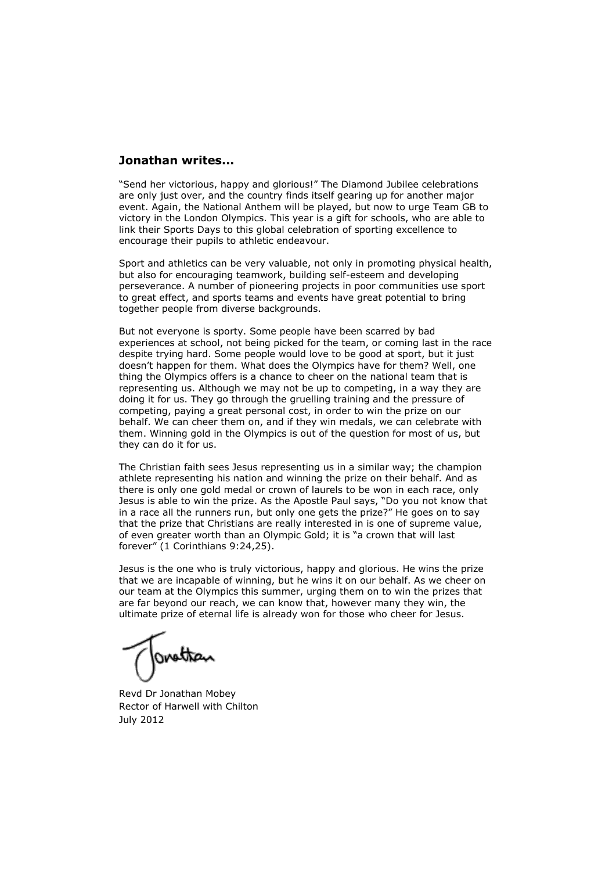#### **Jonathan writes...**

"Send her victorious, happy and glorious!" The Diamond Jubilee celebrations are only just over, and the country finds itself gearing up for another major event. Again, the National Anthem will be played, but now to urge Team GB to victory in the London Olympics. This year is a gift for schools, who are able to link their Sports Days to this global celebration of sporting excellence to encourage their pupils to athletic endeavour.

Sport and athletics can be very valuable, not only in promoting physical health, but also for encouraging teamwork, building self-esteem and developing perseverance. A number of pioneering projects in poor communities use sport to great effect, and sports teams and events have great potential to bring together people from diverse backgrounds.

But not everyone is sporty. Some people have been scarred by bad experiences at school, not being picked for the team, or coming last in the race despite trying hard. Some people would love to be good at sport, but it just doesn't happen for them. What does the Olympics have for them? Well, one thing the Olympics offers is a chance to cheer on the national team that is representing us. Although we may not be up to competing, in a way they are doing it for us. They go through the gruelling training and the pressure of competing, paying a great personal cost, in order to win the prize on our behalf. We can cheer them on, and if they win medals, we can celebrate with them. Winning gold in the Olympics is out of the question for most of us, but they can do it for us.

The Christian faith sees Jesus representing us in a similar way; the champion athlete representing his nation and winning the prize on their behalf. And as there is only one gold medal or crown of laurels to be won in each race, only Jesus is able to win the prize. As the Apostle Paul says, "Do you not know that in a race all the runners run, but only one gets the prize?" He goes on to say that the prize that Christians are really interested in is one of supreme value, of even greater worth than an Olympic Gold; it is "a crown that will last forever" (1 Corinthians 9:24,25).

Jesus is the one who is truly victorious, happy and glorious. He wins the prize that we are incapable of winning, but he wins it on our behalf. As we cheer on our team at the Olympics this summer, urging them on to win the prizes that are far beyond our reach, we can know that, however many they win, the ultimate prize of eternal life is already won for those who cheer for Jesus.

Revd Dr Jonathan Mobey Rector of Harwell with Chilton July 2012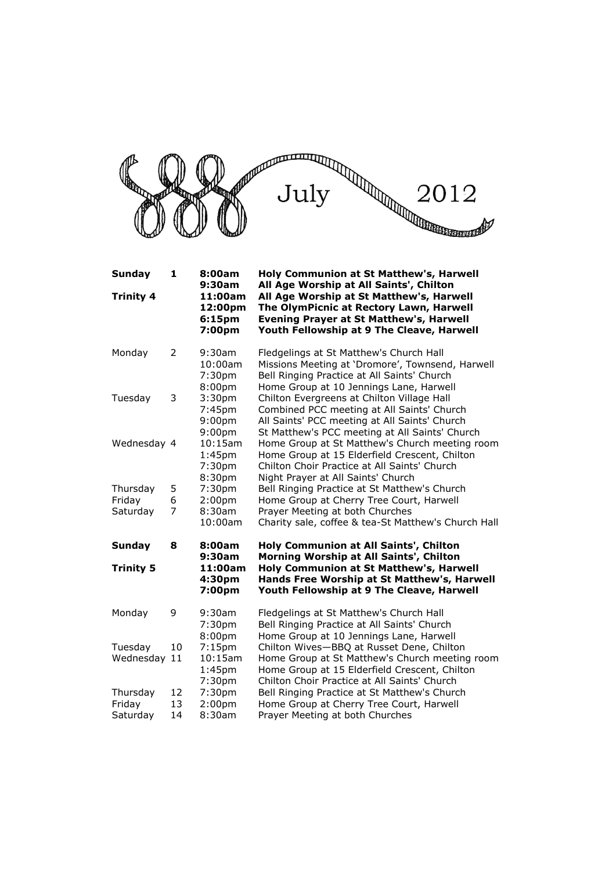July 2012

**Sunday 1 8:00am Holy Communion at St Matthew's, Harwell 9:30am All Age Worship at All Saints', Chilton Trinity 4 11:00am All Age Worship at St Matthew's, Harwell 12:00pm The OlymPicnic at Rectory Lawn, Harwell 6:15pm Evening Prayer at St Matthew's, Harwell 7:00pm Youth Fellowship at 9 The Cleave, Harwell** Monday 2 9:30am Fledgelings at St Matthew's Church Hall 10:00am Missions Meeting at 'Dromore', Townsend, Harwell 7:30pm Bell Ringing Practice at All Saints' Church 8:00pm Home Group at 10 Jennings Lane, Harwell Tuesday 3 3:30pm Chilton Evergreens at Chilton Village Hall 7:45pm Combined PCC meeting at All Saints' Church 9:00pm All Saints' PCC meeting at All Saints' Church 9:00pm St Matthew's PCC meeting at All Saints' Church Wednesday 4 10:15am Home Group at St Matthew's Church meeting room 1:45pm Home Group at 15 Elderfield Crescent, Chilton 7:30pm Chilton Choir Practice at All Saints' Church 8:30pm Night Prayer at All Saints' Church Thursday 5 7:30pm Bell Ringing Practice at St Matthew's Church Friday 6 2:00pm Home Group at Cherry Tree Court, Harwell Saturday 7 8:30am Prayer Meeting at both Churches 10:00am Charity sale, coffee & tea-St Matthew's Church Hall **Sunday 8 8:00am Holy Communion at All Saints', Chilton 9:30am Morning Worship at All Saints', Chilton Trinity 5 11:00am Holy Communion at St Matthew's, Harwell 4:30pm Hands Free Worship at St Matthew's, Harwell 7:00pm Youth Fellowship at 9 The Cleave, Harwell** Monday 9 9:30am Fledgelings at St Matthew's Church Hall 7:30pm Bell Ringing Practice at All Saints' Church 8:00pm Home Group at 10 Jennings Lane, Harwell Tuesday 10 7:15pm Chilton Wives—BBQ at Russet Dene, Chilton Wednesday 11 10:15am Home Group at St Matthew's Church meeting room 1:45pm Home Group at 15 Elderfield Crescent, Chilton 7:30pm Chilton Choir Practice at All Saints' Church Thursday 12 7:30pm Bell Ringing Practice at St Matthew's Church Friday 13 2:00pm Home Group at Cherry Tree Court, Harwell Saturday 14 8:30am Prayer Meeting at both Churches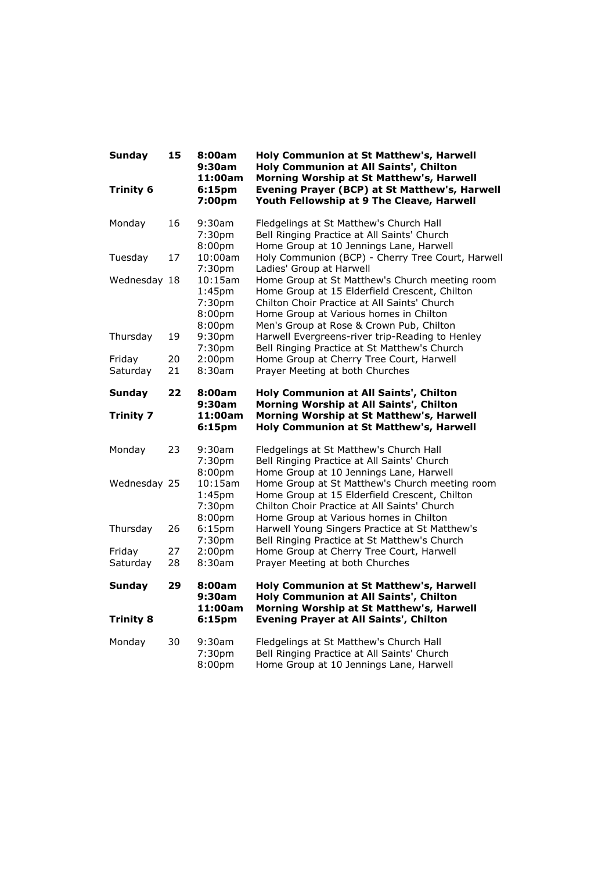| Sunday                     | 15       | 8:00am<br>9:30am<br>11:00am                     | Holy Communion at St Matthew's, Harwell<br><b>Holy Communion at All Saints', Chilton</b><br>Morning Worship at St Matthew's, Harwell                                                                                                  |
|----------------------------|----------|-------------------------------------------------|---------------------------------------------------------------------------------------------------------------------------------------------------------------------------------------------------------------------------------------|
| <b>Trinity 6</b>           |          | 6:15 <sub>pm</sub><br>7:00pm                    | Evening Prayer (BCP) at St Matthew's, Harwell<br>Youth Fellowship at 9 The Cleave, Harwell                                                                                                                                            |
| Monday                     | 16       | 9:30am<br>7:30pm<br>8:00pm                      | Fledgelings at St Matthew's Church Hall<br>Bell Ringing Practice at All Saints' Church<br>Home Group at 10 Jennings Lane, Harwell                                                                                                     |
| Tuesday                    | 17       | 10:00am<br>7:30pm                               | Holy Communion (BCP) - Cherry Tree Court, Harwell<br>Ladies' Group at Harwell                                                                                                                                                         |
| Wednesday 18               |          | 10:15am<br>1:45pm<br>7:30pm<br>8:00pm<br>8:00pm | Home Group at St Matthew's Church meeting room<br>Home Group at 15 Elderfield Crescent, Chilton<br>Chilton Choir Practice at All Saints' Church<br>Home Group at Various homes in Chilton<br>Men's Group at Rose & Crown Pub, Chilton |
| Thursday                   | 19       | 9:30pm<br>7:30pm                                | Harwell Evergreens-river trip-Reading to Henley<br>Bell Ringing Practice at St Matthew's Church                                                                                                                                       |
| Friday<br>Saturday         | 20<br>21 | 2:00 <sub>pm</sub><br>8:30am                    | Home Group at Cherry Tree Court, Harwell<br>Prayer Meeting at both Churches                                                                                                                                                           |
| Sunday                     | 22       | 8:00am<br>9:30am                                | Holy Communion at All Saints', Chilton<br>Morning Worship at All Saints', Chilton                                                                                                                                                     |
| <b>Trinity 7</b>           |          | 11:00am<br>6:15pm                               | Morning Worship at St Matthew's, Harwell<br>Holy Communion at St Matthew's, Harwell                                                                                                                                                   |
| Monday                     | 23       | 9:30am<br>7:30pm<br>8:00pm                      | Fledgelings at St Matthew's Church Hall<br>Bell Ringing Practice at All Saints' Church<br>Home Group at 10 Jennings Lane, Harwell                                                                                                     |
| Wednesday 25               |          | 10:15am<br>1:45pm<br>7:30pm<br>8:00pm           | Home Group at St Matthew's Church meeting room<br>Home Group at 15 Elderfield Crescent, Chilton<br>Chilton Choir Practice at All Saints' Church<br>Home Group at Various homes in Chilton                                             |
| Thursday                   | 26       | 6:15 <sub>pm</sub><br>7:30pm                    | Harwell Young Singers Practice at St Matthew's<br>Bell Ringing Practice at St Matthew's Church                                                                                                                                        |
| Friday<br>Saturday         | 27<br>28 | 2:00 <sub>pm</sub><br>8:30am                    | Home Group at Cherry Tree Court, Harwell<br>Prayer Meeting at both Churches                                                                                                                                                           |
| Sunday<br><b>Trinity 8</b> | 29       | 8:00am<br>9:30am<br>11:00am<br>6:15pm           | Holy Communion at St Matthew's, Harwell<br><b>Holy Communion at All Saints', Chilton</b><br>Morning Worship at St Matthew's, Harwell<br><b>Evening Prayer at All Saints', Chilton</b>                                                 |
| Monday                     | 30       | $9:30$ am<br>7:30pm<br>8:00pm                   | Fledgelings at St Matthew's Church Hall<br>Bell Ringing Practice at All Saints' Church<br>Home Group at 10 Jennings Lane, Harwell                                                                                                     |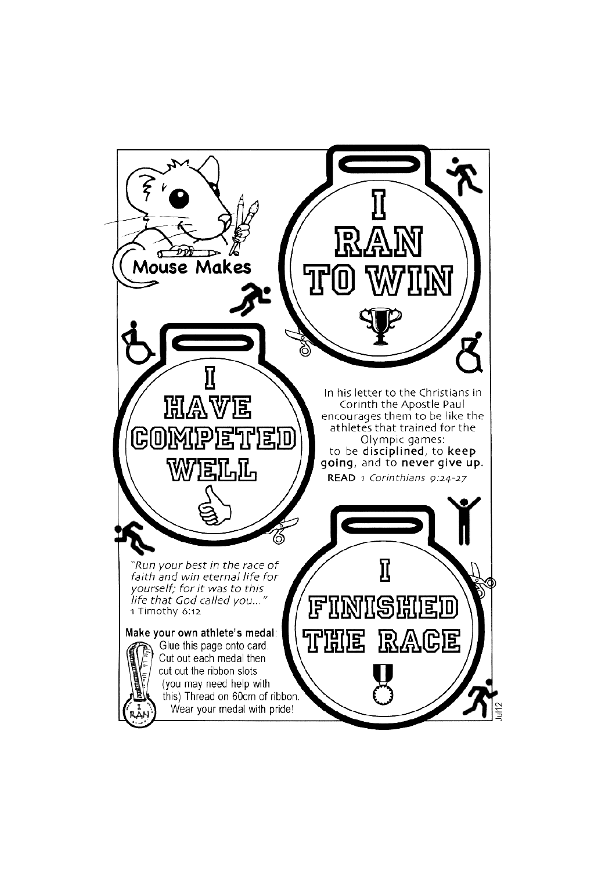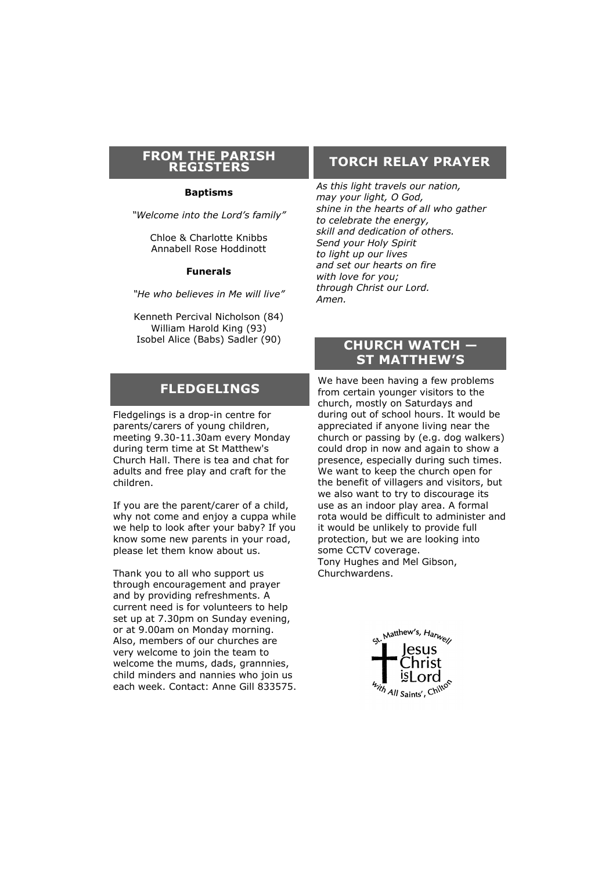# **FROM THE PARISH**

#### **Baptisms**

*"Welcome into the Lord's family"*

Chloe & Charlotte Knibbs Annabell Rose Hoddinott

#### **Funerals**

*"He who believes in Me will live"*

Kenneth Percival Nicholson (84) William Harold King (93) Isobel Alice (Babs) Sadler (90)

## **FLEDGELINGS**

Fledgelings is a drop-in centre for parents/carers of young children, meeting 9.30-11.30am every Monday during term time at St Matthew's Church Hall. There is tea and chat for adults and free play and craft for the children.

If you are the parent/carer of a child, why not come and enjoy a cuppa while we help to look after your baby? If you know some new parents in your road, please let them know about us.

Thank you to all who support us through encouragement and prayer and by providing refreshments. A current need is for volunteers to help set up at 7.30pm on Sunday evening, or at 9.00am on Monday morning. Also, members of our churches are very welcome to join the team to welcome the mums, dads, grannnies, child minders and nannies who join us each week. Contact: Anne Gill 833575.

# **REGISTERS TORCH RELAY PRAYER**

*As this light travels our nation, may your light, O God, shine in the hearts of all who gather to celebrate the energy, skill and dedication of others. Send your Holy Spirit to light up our lives and set our hearts on fire with love for you; through Christ our Lord. Amen.*

# **CHURCH WATCH — ST MATTHEW'S**

We have been having a few problems from certain younger visitors to the church, mostly on Saturdays and during out of school hours. It would be appreciated if anyone living near the church or passing by (e.g. dog walkers) could drop in now and again to show a presence, especially during such times. We want to keep the church open for the benefit of villagers and visitors, but we also want to try to discourage its use as an indoor play area. A formal rota would be difficult to administer and it would be unlikely to provide full protection, but we are looking into some CCTV coverage. Tony Hughes and Mel Gibson, Churchwardens.